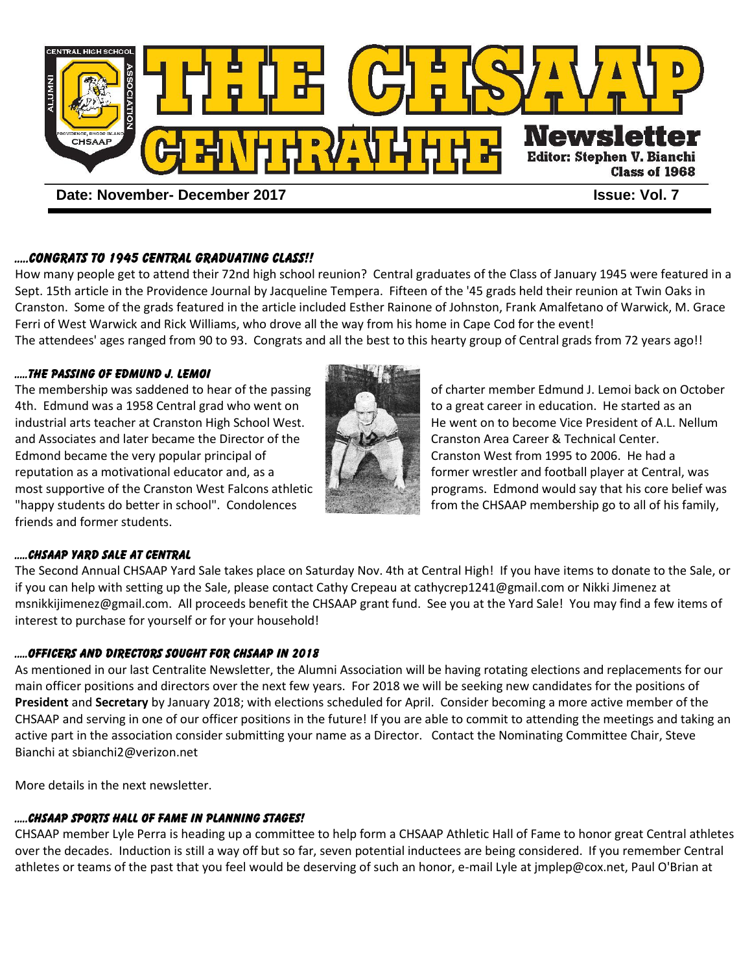

# .....CONGRATS TO 1945 CENTRAL GRADUATING CLASS!!

How many people get to attend their 72nd high school reunion? Central graduates of the Class of January 1945 were featured in a Sept. 15th article in the Providence Journal by Jacqueline Tempera. Fifteen of the '45 grads held their reunion at Twin Oaks in Cranston. Some of the grads featured in the article included Esther Rainone of Johnston, Frank Amalfetano of Warwick, M. Grace Ferri of West Warwick and Rick Williams, who drove all the way from his home in Cape Cod for the event! The attendees' ages ranged from 90 to 93. Congrats and all the best to this hearty group of Central grads from 72 years ago!!

## .....THE PASSING OF EDMUND J. LEMOI

The membership was saddened to hear of the passing of charter member Edmund J. Lemoi back on October 4th. Edmund was a 1958 Central grad who went on to a great career in education. He started as an industrial arts teacher at Cranston High School West. He went on to become Vice President of A.L. Nellum and Associates and later became the Director of the Cranston Area Career & Technical Center. Edmond became the very popular principal of Cranston West from 1995 to 2006. He had a reputation as a motivational educator and, as a former wrestler and football player at Central, was "happy students do better in school". Condolences from the CHSAAP membership go to all of his family, friends and former students.



most supportive of the Cranston West Falcons athletic programs. Edmond would say that his core belief was

## .....CHSAAP YARD SALE AT CENTRAL

The Second Annual CHSAAP Yard Sale takes place on Saturday Nov. 4th at Central High! If you have items to donate to the Sale, or if you can help with setting up the Sale, please contact Cathy Crepeau at cathycrep1241@gmail.com or Nikki Jimenez at msnikkijimenez@gmail.com. All proceeds benefit the CHSAAP grant fund. See you at the Yard Sale! You may find a few items of interest to purchase for yourself or for your household!

#### .....OFFICERS and directors SOUGHT FOR CHSAAP IN 2018

As mentioned in our last Centralite Newsletter, the Alumni Association will be having rotating elections and replacements for our main officer positions and directors over the next few years. For 2018 we will be seeking new candidates for the positions of **President** and **Secretary** by January 2018; with elections scheduled for April. Consider becoming a more active member of the CHSAAP and serving in one of our officer positions in the future! If you are able to commit to attending the meetings and taking an active part in the association consider submitting your name as a Director. Contact the Nominating Committee Chair, Steve Bianchi at sbianchi2@verizon.net

More details in the next newsletter.

# .....CHSAAP SPORTS HALL OF FAME IN PLANNING STAGES!

CHSAAP member Lyle Perra is heading up a committee to help form a CHSAAP Athletic Hall of Fame to honor great Central athletes over the decades. Induction is still a way off but so far, seven potential inductees are being considered. If you remember Central athletes or teams of the past that you feel would be deserving of such an honor, e-mail Lyle at jmplep@cox.net, Paul O'Brian at